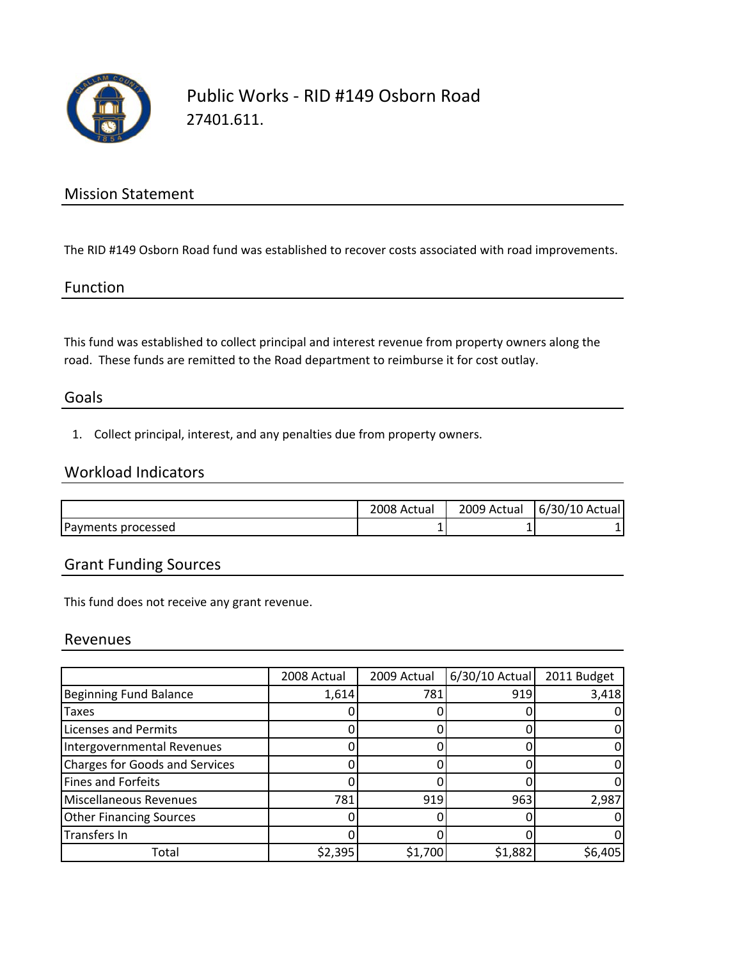

## Public Works ‐ RID #149 Osborn Road 27401.611.

### Mission Statement

The RID #149 Osborn Road fund was established to recover costs associated with road improvements.

#### Function

This fund was established to collect principal and interest revenue from property owners along the road. These funds are remitted to the Road department to reimburse it for cost outlay.

#### Goals

1. Collect principal, interest, and any penalties due from property owners.

### Workload Indicators

|                    | 2008 Actual | 2009 Actual | 6/30/<br>/10 Actual |
|--------------------|-------------|-------------|---------------------|
| Payments processed | -           |             |                     |

### Grant Funding Sources

This fund does not receive any grant revenue.

#### Revenues

|                                       | 2008 Actual | 2009 Actual | $6/30/10$ Actual | 2011 Budget |
|---------------------------------------|-------------|-------------|------------------|-------------|
| <b>Beginning Fund Balance</b>         | 1,614       | 781         | 919              | 3,418       |
| <b>Taxes</b>                          |             |             |                  |             |
| <b>Licenses and Permits</b>           |             |             |                  |             |
| Intergovernmental Revenues            |             |             |                  |             |
| <b>Charges for Goods and Services</b> |             |             |                  |             |
| Fines and Forfeits                    |             |             |                  |             |
| Miscellaneous Revenues                | 781         | 919         | 963              | 2,987       |
| <b>Other Financing Sources</b>        |             |             |                  |             |
| Transfers In                          |             |             |                  |             |
| Total                                 | \$2,395     | \$1,700     | \$1,882          | \$6,405     |